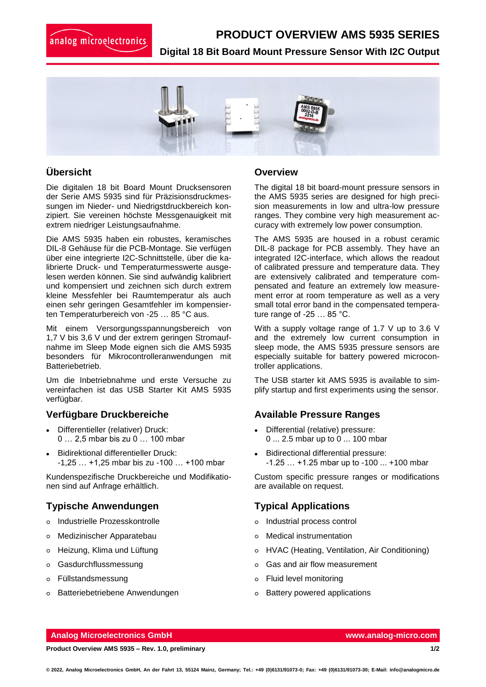# analog microelectronics

## **[PRODUCT OVERVIEW](https://www.analog-micro.com/en/products/pressure-sensors/board-mount-pressure-sensors/ams5812/) AMS 5935 SERIES**

**Digital 18 Bit Board Mount Pressure Sensor With I2C Output**



## **Übersicht**

Die digitalen 18 bit Board Mount Drucksensoren der Serie AMS 5935 sind für Präzisionsdruckmessungen im Nieder- und Niedrigstdruckbereich konzipiert. Sie vereinen höchste Messgenauigkeit mit extrem niedriger Leistungsaufnahme.

Die AMS 5935 haben ein robustes, keramisches DIL-8 Gehäuse für die PCB-Montage. Sie verfügen über eine integrierte I2C-Schnittstelle, über die kalibrierte Druck- und Temperaturmesswerte ausgelesen werden können. Sie sind aufwändig kalibriert und kompensiert und zeichnen sich durch extrem kleine Messfehler bei Raumtemperatur als auch einen sehr geringen Gesamtfehler im kompensierten Temperaturbereich von -25 … 85 °C aus.

Mit einem Versorgungsspannungsbereich von 1,7 V bis 3,6 V und der extrem geringen Stromaufnahme im Sleep Mode eignen sich die AMS 5935 besonders für Mikrocontrolleranwendungen mit Batteriebetrieb.

Um die Inbetriebnahme und erste Versuche zu vereinfachen ist das USB Starter Kit AMS 5935 verfügbar.

#### **Verfügbare Druckbereiche**

- Differentieller (relativer) Druck: 0 … 2,5 mbar bis zu 0 … 100 mbar
- Bidirektional differentieller Druck: -1,25 … +1,25 mbar bis zu -100 … +100 mbar

Kundenspezifische Druckbereiche und Modifikationen sind auf Anfrage erhältlich.

## **Typische Anwendungen**

- o Industrielle Prozesskontrolle
- Medizinischer Apparatebau
- Heizung, Klima und Lüftung
- Gasdurchflussmessung
- Füllstandsmessung
- o Batteriebetriebene Anwendungen

#### **Overview**

The digital 18 bit board-mount pressure sensors in the AMS 5935 series are designed for high precision measurements in low and ultra-low pressure ranges. They combine very high measurement accuracy with extremely low power consumption.

The AMS 5935 are housed in a robust ceramic DIL-8 package for PCB assembly. They have an integrated I2C-interface, which allows the readout of calibrated pressure and temperature data. They are extensively calibrated and temperature compensated and feature an extremely low measurement error at room temperature as well as a very small total error band in the compensated temperature range of -25 … 85 °C.

With a supply voltage range of 1.7 V up to 3.6 V and the extremely low current consumption in sleep mode, the AMS 5935 pressure sensors are especially suitable for battery powered microcontroller applications.

The USB starter kit AMS 5935 is available to simplify startup and first experiments using the sensor.

### **Available Pressure Ranges**

- Differential (relative) pressure: 0 ... 2.5 mbar up to 0 ... 100 mbar
- Bidirectional differential pressure: -1.25 … +1.25 mbar up to -100 ... +100 mbar

Custom specific pressure ranges or modifications are available on request.

## **Typical Applications**

- Industrial process control
- Medical instrumentation
- HVAC (Heating, Ventilation, Air Conditioning)
- Gas and air flow measurement
- Fluid level monitoring
- Battery powered applications

#### **Analog Microelectronics GmbH [www.analog-micro.com](http://www.analog-micro.com/)**

**Product Overview AMS 5935 – Rev. 1.0, preliminary 1/2**